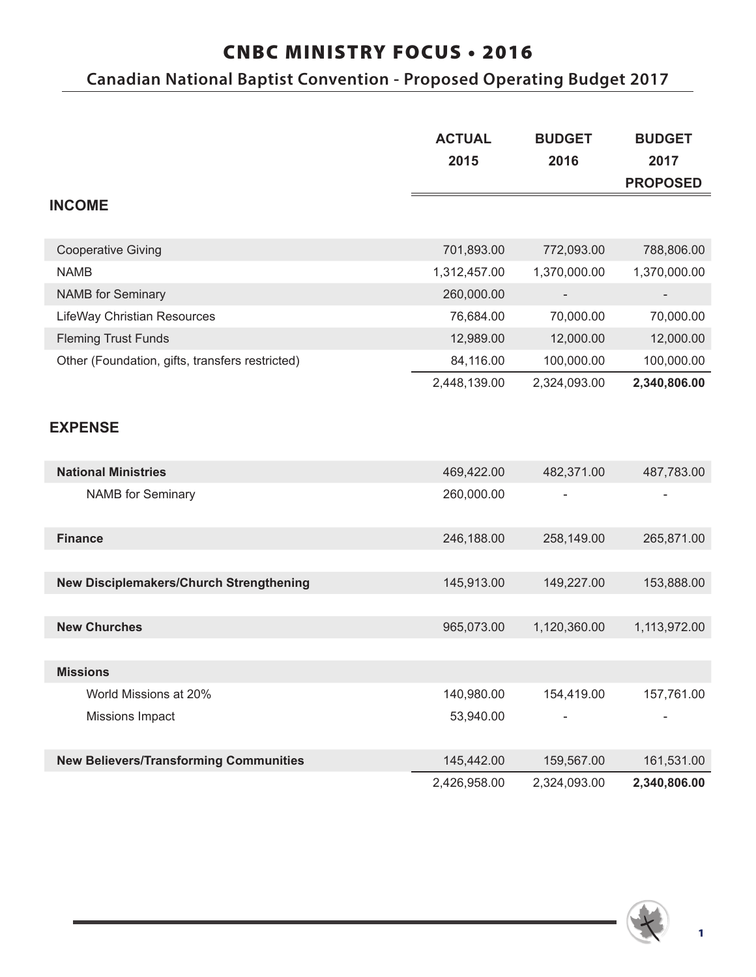# CNBC MINISTRY FOCUS • 2016

# **Canadian National Baptist Convention - Proposed Operating Budget 2017**

|                                                 | <b>ACTUAL</b> | <b>BUDGET</b> | <b>BUDGET</b>   |
|-------------------------------------------------|---------------|---------------|-----------------|
|                                                 | 2015          | 2016          | 2017            |
|                                                 |               |               | <b>PROPOSED</b> |
| <b>INCOME</b>                                   |               |               |                 |
| <b>Cooperative Giving</b>                       | 701,893.00    | 772,093.00    | 788,806.00      |
| <b>NAMB</b>                                     | 1,312,457.00  | 1,370,000.00  | 1,370,000.00    |
| <b>NAMB</b> for Seminary                        | 260,000.00    |               |                 |
| LifeWay Christian Resources                     | 76,684.00     | 70,000.00     | 70,000.00       |
| <b>Fleming Trust Funds</b>                      | 12,989.00     | 12,000.00     | 12,000.00       |
| Other (Foundation, gifts, transfers restricted) | 84,116.00     | 100,000.00    | 100,000.00      |
|                                                 | 2,448,139.00  | 2,324,093.00  | 2,340,806.00    |
|                                                 |               |               |                 |
| <b>EXPENSE</b>                                  |               |               |                 |
| <b>National Ministries</b>                      | 469,422.00    | 482,371.00    | 487,783.00      |
| <b>NAMB</b> for Seminary                        | 260,000.00    |               |                 |
| <b>Finance</b>                                  | 246,188.00    | 258,149.00    | 265,871.00      |
|                                                 |               |               |                 |
| New Disciplemakers/Church Strengthening         | 145,913.00    | 149,227.00    | 153,888.00      |
|                                                 |               |               |                 |
| <b>New Churches</b>                             | 965,073.00    | 1,120,360.00  | 1,113,972.00    |
|                                                 |               |               |                 |
| <b>Missions</b>                                 |               |               |                 |
| World Missions at 20%                           | 140,980.00    | 154,419.00    | 157,761.00      |
| Missions Impact                                 | 53,940.00     |               |                 |
| <b>New Believers/Transforming Communities</b>   | 145,442.00    | 159,567.00    | 161,531.00      |
|                                                 | 2,426,958.00  | 2,324,093.00  | 2,340,806.00    |

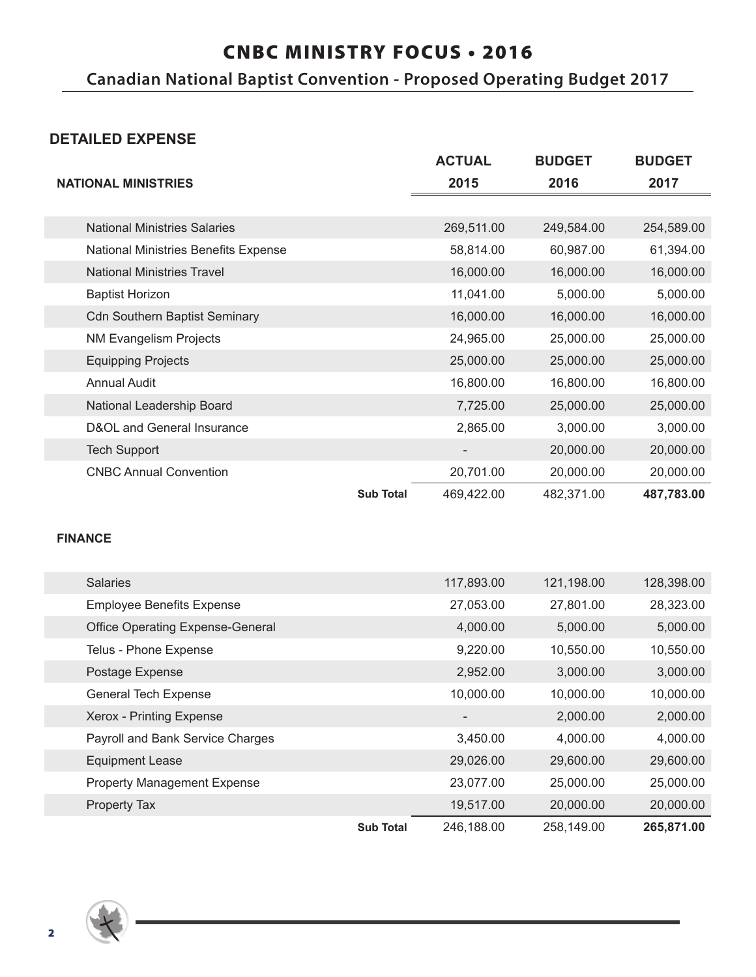### CNBC MINISTRY FOCUS • 2016

**Canadian National Baptist Convention - Proposed Operating Budget 2017**

### **DETAILED EXPENSE**

|                                      |                  | <b>ACTUAL</b> | <b>BUDGET</b> | <b>BUDGET</b> |
|--------------------------------------|------------------|---------------|---------------|---------------|
| <b>NATIONAL MINISTRIES</b>           |                  | 2015          | 2016          | 2017          |
|                                      |                  |               |               |               |
| <b>National Ministries Salaries</b>  |                  | 269,511.00    | 249,584.00    | 254,589.00    |
| National Ministries Benefits Expense |                  | 58,814.00     | 60,987.00     | 61,394.00     |
| <b>National Ministries Travel</b>    |                  | 16,000.00     | 16,000.00     | 16,000.00     |
| <b>Baptist Horizon</b>               |                  | 11,041.00     | 5,000.00      | 5,000.00      |
| <b>Cdn Southern Baptist Seminary</b> |                  | 16,000.00     | 16,000.00     | 16,000.00     |
| <b>NM Evangelism Projects</b>        |                  | 24,965.00     | 25,000.00     | 25,000.00     |
| <b>Equipping Projects</b>            |                  | 25,000.00     | 25,000.00     | 25,000.00     |
| <b>Annual Audit</b>                  |                  | 16,800.00     | 16,800.00     | 16,800.00     |
| National Leadership Board            |                  | 7,725.00      | 25,000.00     | 25,000.00     |
| D&OL and General Insurance           |                  | 2,865.00      | 3,000.00      | 3,000.00      |
| <b>Tech Support</b>                  |                  |               | 20,000.00     | 20,000.00     |
| <b>CNBC Annual Convention</b>        |                  | 20,701.00     | 20,000.00     | 20,000.00     |
|                                      | <b>Sub Total</b> | 469,422.00    | 482,371.00    | 487,783.00    |

#### **FINANCE**

| <b>Salaries</b>                         |                  | 117,893.00 | 121,198.00 | 128,398.00 |
|-----------------------------------------|------------------|------------|------------|------------|
| <b>Employee Benefits Expense</b>        |                  | 27,053.00  | 27,801.00  | 28,323.00  |
| <b>Office Operating Expense-General</b> |                  | 4,000.00   | 5,000.00   | 5,000.00   |
| Telus - Phone Expense                   |                  | 9,220.00   | 10,550.00  | 10,550.00  |
| Postage Expense                         |                  | 2,952.00   | 3,000.00   | 3,000.00   |
| <b>General Tech Expense</b>             |                  | 10,000.00  | 10,000.00  | 10,000.00  |
| Xerox - Printing Expense                |                  |            | 2,000.00   | 2,000.00   |
| Payroll and Bank Service Charges        |                  | 3,450.00   | 4,000.00   | 4,000.00   |
| <b>Equipment Lease</b>                  |                  | 29,026.00  | 29,600.00  | 29,600.00  |
| <b>Property Management Expense</b>      |                  | 23,077.00  | 25,000.00  | 25,000.00  |
| Property Tax                            |                  | 19,517.00  | 20,000.00  | 20,000.00  |
|                                         | <b>Sub Total</b> | 246,188.00 | 258,149.00 | 265,871.00 |